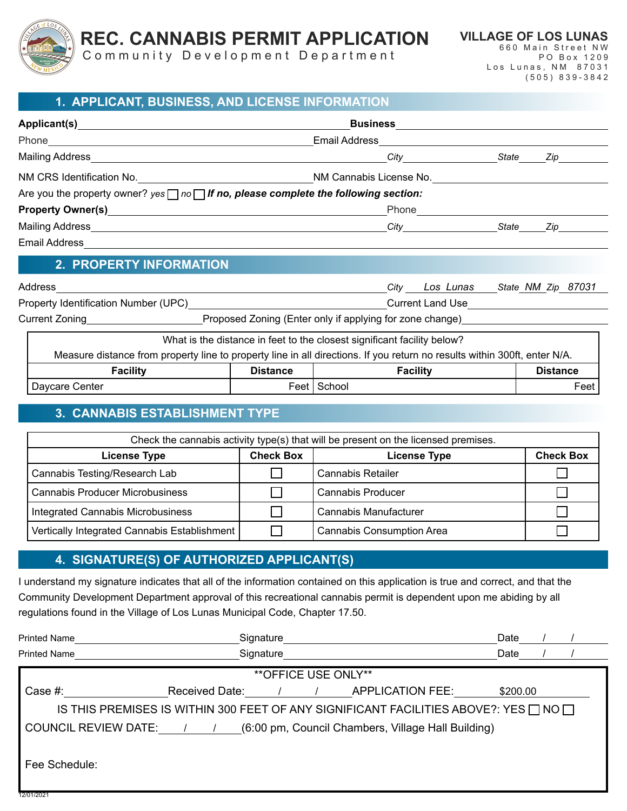

**REC. CANNABIS PERMIT APPLICATION**

Community Development Department

**VILLAGE OF LOS LUNAS** 660 Main Street NW PO Box 1209 Los Lunas, NM 87031 (505) 839-3842

#### **1. APPLICANT, BUSINESS, AND LICENSE INFORMATION**

| Applicant(s) and the contract of the contract of the contract of the contract of the contract of the contract of the contract of the contract of the contract of the contract of the contract of the contract of the contract | <b>Business</b>                                                                                |                                   |  |
|-------------------------------------------------------------------------------------------------------------------------------------------------------------------------------------------------------------------------------|------------------------------------------------------------------------------------------------|-----------------------------------|--|
| Phone <u>____________________________</u>                                                                                                                                                                                     | Email Address                                                                                  |                                   |  |
| Mailing Address                                                                                                                                                                                                               |                                                                                                | State<br>Zip                      |  |
| NM CRS Identification No. <u>_________________________________</u>                                                                                                                                                            | NM Cannabis License No.                                                                        |                                   |  |
|                                                                                                                                                                                                                               | Are you the property owner? yes $\Box$ no $\Box$ If no, please complete the following section: |                                   |  |
|                                                                                                                                                                                                                               | Phone                                                                                          |                                   |  |
|                                                                                                                                                                                                                               | <b>City City</b>                                                                               | State<br>Zip                      |  |
| <b>Email Address</b>                                                                                                                                                                                                          |                                                                                                |                                   |  |
| <b>2. PROPERTY INFORMATION</b>                                                                                                                                                                                                |                                                                                                |                                   |  |
| Address                                                                                                                                                                                                                       |                                                                                                | City Los Lunas State NM Zip 87031 |  |
|                                                                                                                                                                                                                               | <b>Current Land Use</b>                                                                        |                                   |  |
| <b>Current Zoning Current School</b>                                                                                                                                                                                          | Proposed Zoning (Enter only if applying for zone change)                                       |                                   |  |
| What is the distance in feet to the closest significant facility below?                                                                                                                                                       |                                                                                                |                                   |  |

| Measure distance from property line to property line in all directions. If you return no results within 300ft, enter N/A. |                 |                 |                 |
|---------------------------------------------------------------------------------------------------------------------------|-----------------|-----------------|-----------------|
| Facilitv                                                                                                                  | <b>Distance</b> | <b>Facility</b> | <b>Distance</b> |
| Daycare Center                                                                                                            |                 | Feet I School   | Feet            |

#### **3. CANNABIS ESTABLISHMENT TYPE**

| Check the cannabis activity type(s) that will be present on the licensed premises. |                  |                                  |                  |  |
|------------------------------------------------------------------------------------|------------------|----------------------------------|------------------|--|
| <b>License Type</b>                                                                | <b>Check Box</b> | <b>License Type</b>              | <b>Check Box</b> |  |
| Cannabis Testing/Research Lab                                                      |                  | Cannabis Retailer                |                  |  |
| <b>Cannabis Producer Microbusiness</b>                                             |                  | <b>Cannabis Producer</b>         |                  |  |
| Integrated Cannabis Microbusiness                                                  |                  | Cannabis Manufacturer            |                  |  |
| Vertically Integrated Cannabis Establishment                                       |                  | <b>Cannabis Consumption Area</b> |                  |  |

#### **4. SIGNATURE(S) OF AUTHORIZED APPLICANT(S)**

I understand my signature indicates that all of the information contained on this application is true and correct, and that the Community Development Department approval of this recreational cannabis permit is dependent upon me abiding by all regulations found in the Village of Los Lunas Municipal Code, Chapter 17.50.

| <b>Printed Name</b>                                                               | Signature                                                                                      | Date     |  |
|-----------------------------------------------------------------------------------|------------------------------------------------------------------------------------------------|----------|--|
| <b>Printed Name</b>                                                               | Signature                                                                                      | Date     |  |
|                                                                                   | ** OFFICE USE ONLY**                                                                           |          |  |
| Case $#$ :                                                                        | <b>Received Date:</b><br>APPLICATION FEE:                                                      | \$200.00 |  |
|                                                                                   | IS THIS PREMISES IS WITHIN 300 FEET OF ANY SIGNIFICANT FACILITIES ABOVE?: YES $\Box$ NO $\Box$ |          |  |
| <b>COUNCIL REVIEW DATE:</b><br>(6:00 pm, Council Chambers, Village Hall Building) |                                                                                                |          |  |
| Fee Schedule:                                                                     |                                                                                                |          |  |